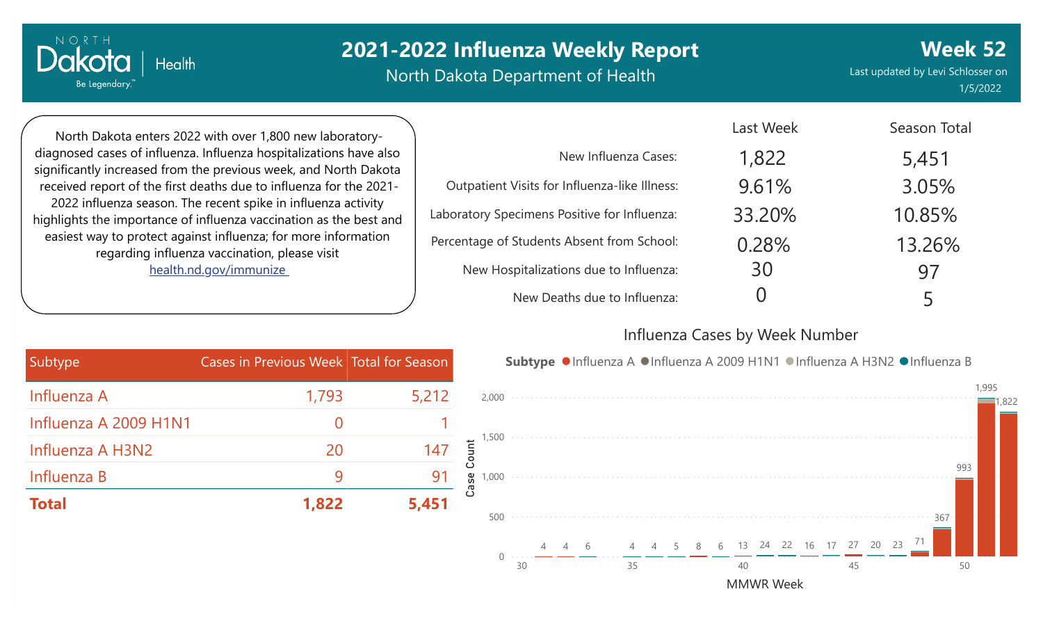North Dakota Department of Health

Last updated by Levi Schlosser on 1/5/2022

**Week 52**

North Dakota enters 2022 with over 1,800 new laboratorydiagnosed cases of influenza. Influenza hospitalizations have also significantly increased from the previous week, and North Dakota received report of the first deaths due to influenza for the 2021- 2022 influenza season. The recent spike in influenza activity highlights the importance of influenza vaccination as the best and easiest way to protect against influenza; for more information regarding influenza vaccination, please visit [health.nd.gov/immunize](http://health.nd.gov/immunize)

**Health** 

NORTH

Dakota

Be Legendary.

|                                               | Last Week | <b>Season Total</b> |
|-----------------------------------------------|-----------|---------------------|
| New Influenza Cases:                          | 1,822     | 5,451               |
| Outpatient Visits for Influenza-like Illness: | 9.61%     | 3.05%               |
| Laboratory Specimens Positive for Influenza:  | 33.20%    | 10.85%              |
| Percentage of Students Absent from School:    | 0.28%     | 13.26%              |
| New Hospitalizations due to Influenza:        | 30        | 97                  |
| New Deaths due to Influenza:                  |           | 5                   |

#### Influenza Cases by Week Number

Last Week

| Subtype               | Cases in Previous Week Total for Season |       |
|-----------------------|-----------------------------------------|-------|
| Influenza A           | 1,793                                   | 5,212 |
| Influenza A 2009 H1N1 | $\Omega$                                |       |
| Influenza A H3N2      | 20                                      | 147   |
| Influenza B           |                                         | 91    |
| <b>Total</b>          | 1,822                                   | 5,451 |

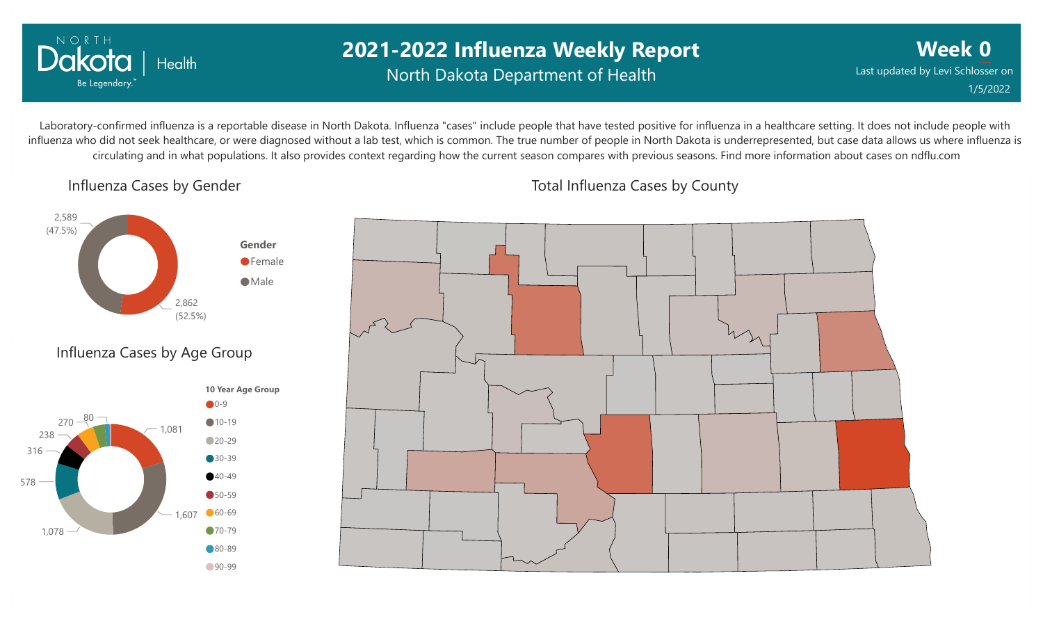

## **2021-2022 Influenza Weekly Report** North Dakota Department of Health

**Week 0** Last updated by Levi Schlosser on 1/5/2022

Laboratory-confirmed influenza is a reportable disease in North Dakota. Influenza "cases" include people that have tested positive for influenza in a healthcare setting. It does not include people with influenza who did not seek healthcare, or were diagnosed without a lab test, which is common. The true number of people in North Dakota is underrepresented, but case data allows us where influenza is circulating and in what populations. It also provides context regarding how the current season compares with previous seasons. Find more information about cases on ndflu.com

Influenza Cases by Gender





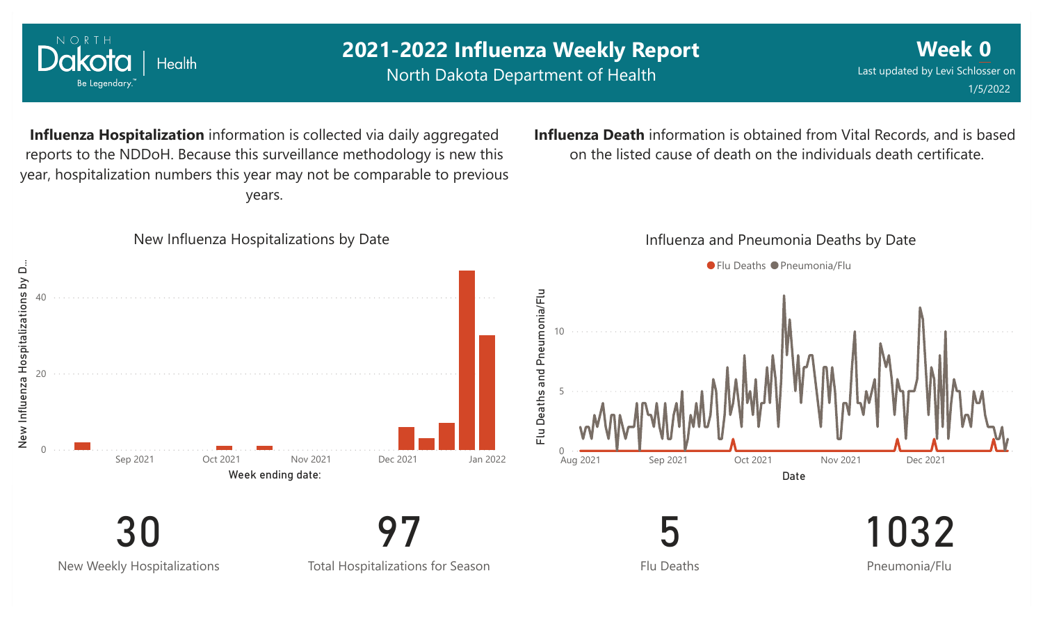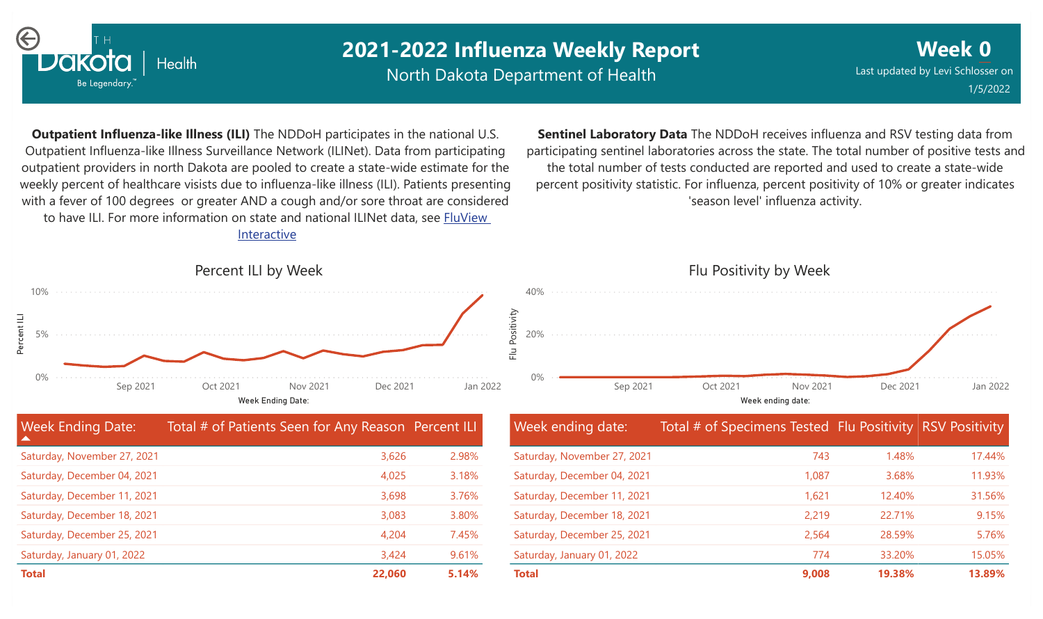

North Dakota Department of Health

**Week 0** Last updated by Levi Schlosser on 1/5/2022

**Outpatient Influenza-like Illness (ILI)** The NDDoH participates in the national U.S. Outpatient Influenza-like Illness Surveillance Network (ILINet). Data from participating outpatient providers in north Dakota are pooled to create a state-wide estimate for the weekly percent of healthcare visists due to influenza-like illness (ILI). Patients presenting with a fever of 100 degrees or greater AND a cough and/or sore throat are considered to have ILI. For more information [on state and national ILINet data, see FluView](http://fluview%20interactive/) Interactive

**Sentinel Laboratory Data** The NDDoH receives influenza and RSV testing data from participating sentinel laboratories across the state. The total number of positive tests and the total number of tests conducted are reported and used to create a state-wide percent positivity statistic. For influenza, percent positivity of 10% or greater indicates 'season level' influenza activity.

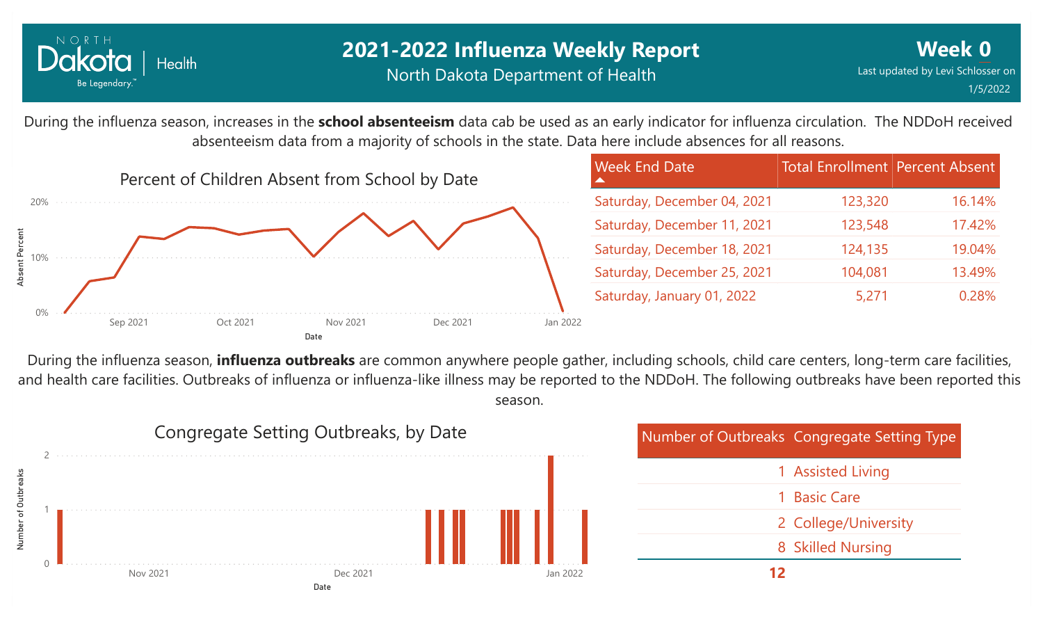

During the influenza season, increases in the **school absenteeism** data cab be used as an early indicator for influenza circulation. The NDDoH received absenteeism data from a majority of schools in the state. Data here include absences for all reasons.



During the influenza season, **influenza outbreaks** are common anywhere people gather, including schools, child care centers, long-term care facilities, and health care facilities. Outbreaks of influenza or influenza-like illness may be reported to the NDDoH. The following outbreaks have been reported this season.



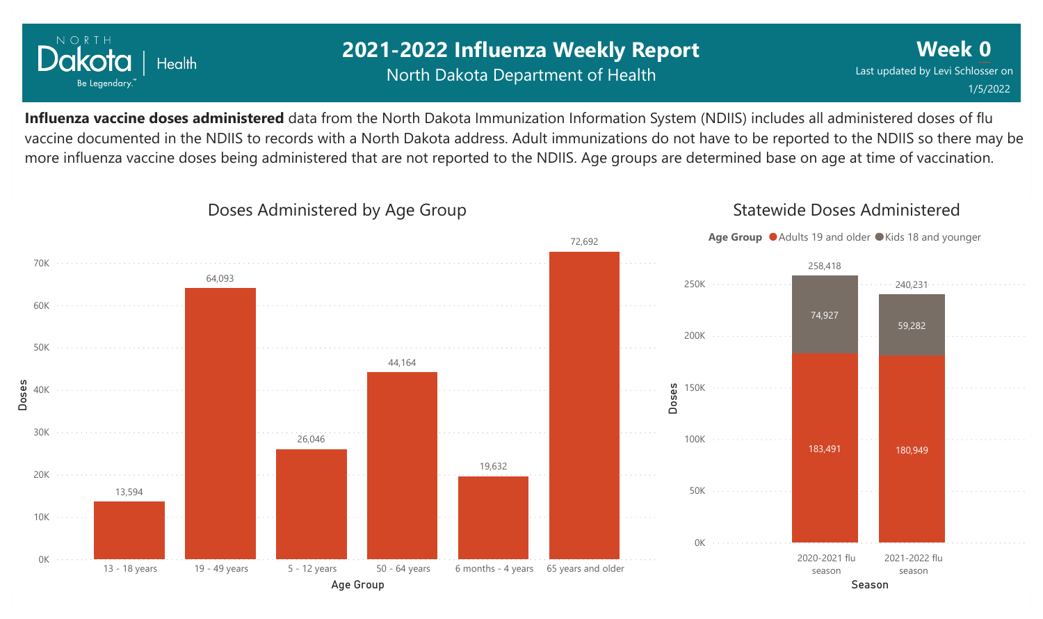

## **2021-2022 Influenza Weekly Report** North Dakota Department of Health

**Week 0** Last updated by Levi Schlosser on 1/5/2022

**Influenza vaccine doses administered** data from the North Dakota Immunization Information System (NDIIS) includes all administered doses of flu vaccine documented in the NDIIS to records with a North Dakota address. Adult immunizations do not have to be reported to the NDIIS so there may be more influenza vaccine doses being administered that are not reported to the NDIIS. Age groups are determined base on age at time of vaccination.



#### Doses Administered by Age Group

Statewide Doses Administered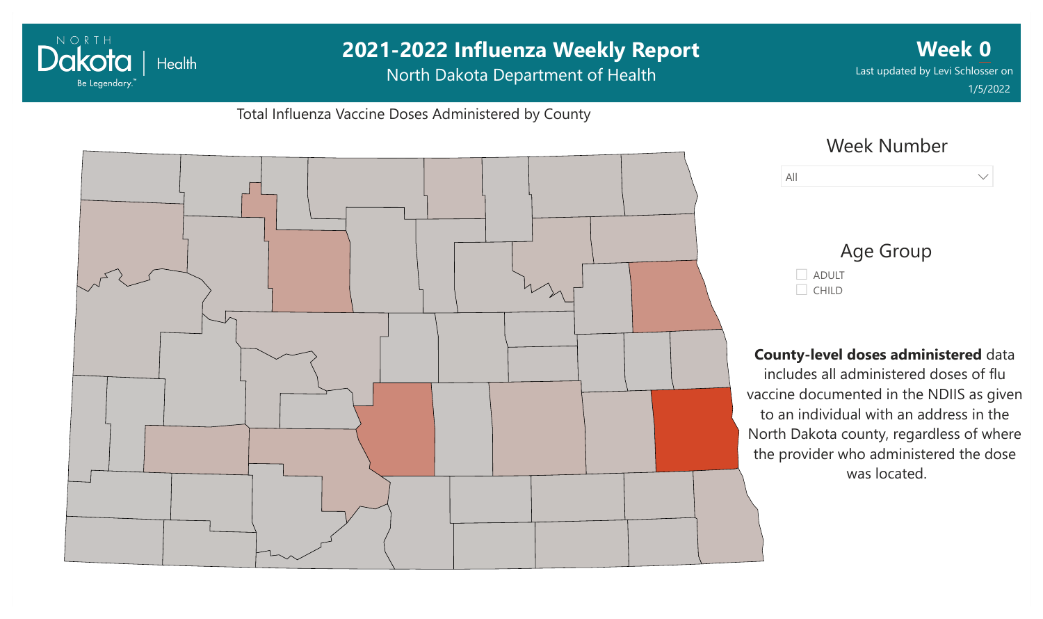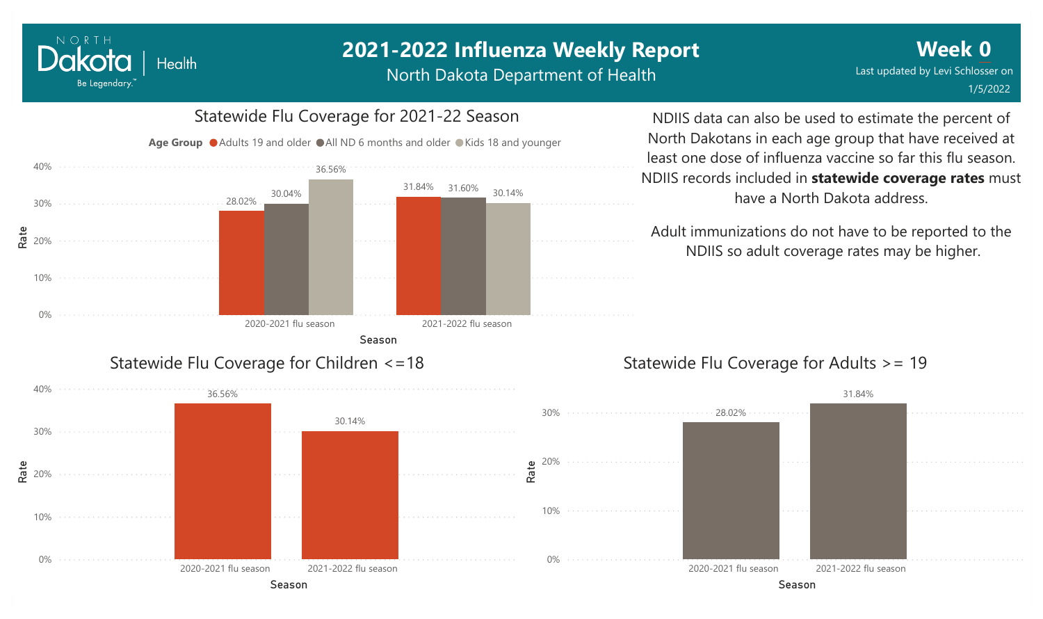NORTH

Dakota

Be Legendary.

Health

North Dakota Department of Health



NDIIS data can also be used to estimate the percent of North Dakotans in each age group that have received at least one dose of influenza vaccine so far this flu season. NDIIS records included in **statewide coverage rates** must have a North Dakota address.

Adult immunizations do not have to be reported to the NDIIS so adult coverage rates may be higher.

#### Statewide Flu Coverage for Adults >= 19